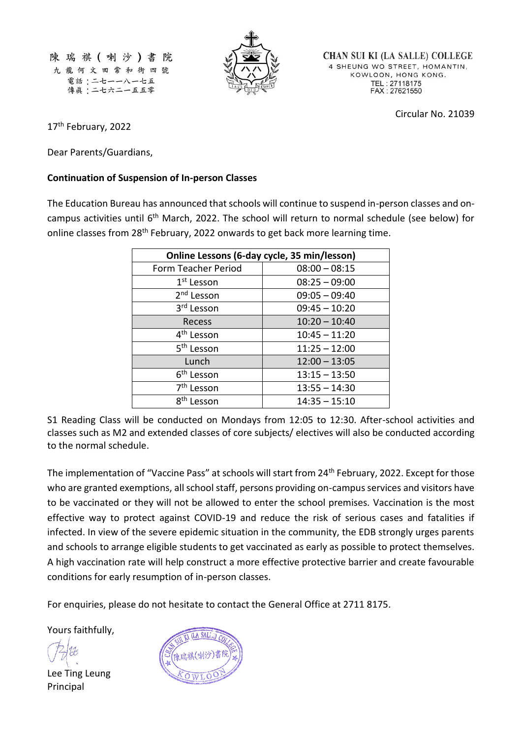陳瑞祺(喇沙)書 院 九龍何文田常和街四號 電話:二七一一八一七五 傳眞:二七六二一五五零



**CHAN SUI KI (LA SALLE) COLLEGE** 4 SHEUNG WO STREET, HOMANTIN, KOWLOON, HONG KONG. TEL: 27118175<br>FAX: 27621550

Circular No. 21039

17<sup>th</sup> February, 2022

Dear Parents/Guardians,

## **Continuation of Suspension of In-person Classes**

The Education Bureau has announced that schools will continue to suspend in-person classes and oncampus activities until 6th March, 2022. The school will return to normal schedule (see below) for online classes from 28<sup>th</sup> February, 2022 onwards to get back more learning time.

| Online Lessons (6-day cycle, 35 min/lesson) |                 |
|---------------------------------------------|-----------------|
| Form Teacher Period                         | $08:00 - 08:15$ |
| 1 <sup>st</sup> Lesson                      | $08:25 - 09:00$ |
| 2 <sup>nd</sup> Lesson                      | $09:05 - 09:40$ |
| 3rd Lesson                                  | $09:45 - 10:20$ |
| Recess                                      | $10:20 - 10:40$ |
| 4 <sup>th</sup> Lesson                      | $10:45 - 11:20$ |
| 5 <sup>th</sup> Lesson                      | $11:25 - 12:00$ |
| Lunch                                       | $12:00 - 13:05$ |
| 6 <sup>th</sup> Lesson                      | $13:15 - 13:50$ |
| 7 <sup>th</sup> Lesson                      | $13:55 - 14:30$ |
| 8 <sup>th</sup> Lesson                      | $14:35 - 15:10$ |

S1 Reading Class will be conducted on Mondays from 12:05 to 12:30. After-school activities and classes such as M2 and extended classes of core subjects/ electives will also be conducted according to the normal schedule.

The implementation of "Vaccine Pass" at schools will start from 24<sup>th</sup> February, 2022. Except for those who are granted exemptions, all school staff, persons providing on-campus services and visitors have to be vaccinated or they will not be allowed to enter the school premises. Vaccination is the most effective way to protect against COVID-19 and reduce the risk of serious cases and fatalities if infected. In view of the severe epidemic situation in the community, the EDB strongly urges parents and schools to arrange eligible students to get vaccinated as early as possible to protect themselves. A high vaccination rate will help construct a more effective protective barrier and create favourable conditions for early resumption of in-person classes.

For enquiries, please do not hesitate to contact the General Office at 2711 8175.

Yours faithfully,

Lee Ting Leung Principal